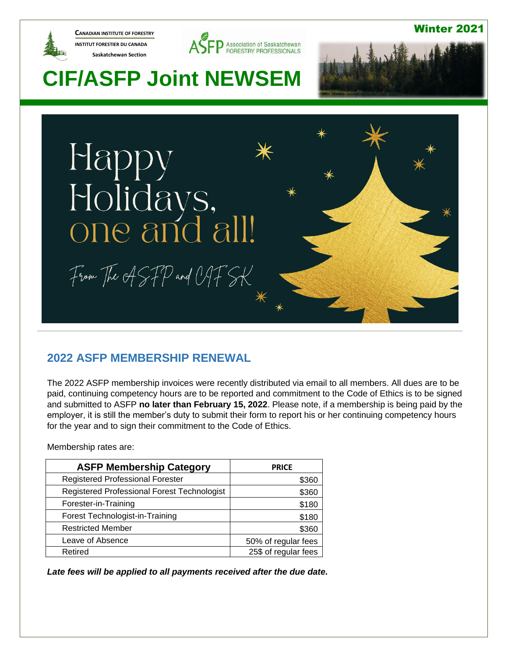

**CANADIAN INSTITUTE OF FORESTRY INSTITUT FORESTIER DU CANADA Saskatchewan Section** 



### Winter 2021

# 2021

# **CIF/ASFP Joint NEWSEM**



### **2022 ASFP MEMBERSHIP RENEWAL**

The 2022 ASFP membership invoices were recently distributed via email to all members. All dues are to be paid, continuing competency hours are to be reported and commitment to the Code of Ethics is to be signed and submitted to ASFP **no later than February 15, 2022**. Please note, if a membership is being paid by the employer, it is still the member's duty to submit their form to report his or her continuing competency hours for the year and to sign their commitment to the Code of Ethics.

Membership rates are:

| <b>ASFP Membership Category</b>             | <b>PRICE</b>         |
|---------------------------------------------|----------------------|
| <b>Registered Professional Forester</b>     | \$360                |
| Registered Professional Forest Technologist | \$360                |
| Forester-in-Training                        | \$180                |
| Forest Technologist-in-Training             | \$180                |
| <b>Restricted Member</b>                    | \$360                |
| Leave of Absence                            | 50% of regular fees  |
| Retired                                     | 25\$ of regular fees |

*Late fees will be applied to all payments received after the due date.*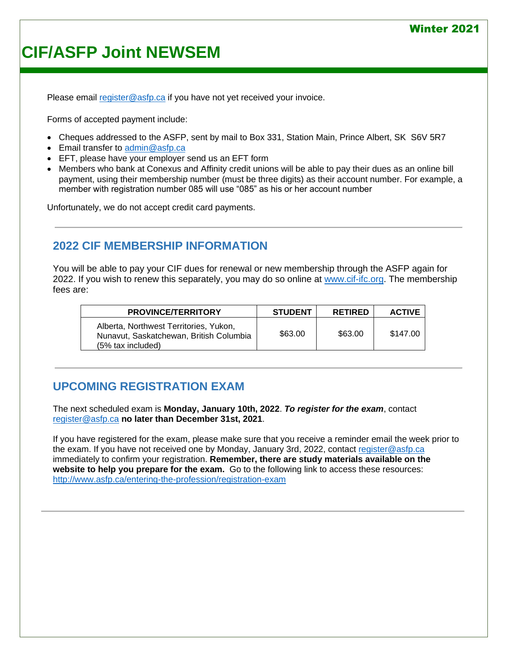### Winter 2021

# **CIF/ASFP Joint NEWSEM**

Please email [register@asfp.ca](mailto:register@asfp.ca) if you have not yet received your invoice.

Forms of accepted payment include:

- Cheques addressed to the ASFP, sent by mail to Box 331, Station Main, Prince Albert, SK S6V 5R7
- Email transfer to [admin@asfp.ca](mailto:admin@asfp.ca)
- EFT, please have your employer send us an EFT form
- Members who bank at Conexus and Affinity credit unions will be able to pay their dues as an online bill payment, using their membership number (must be three digits) as their account number. For example, a member with registration number 085 will use "085" as his or her account number

Unfortunately, we do not accept credit card payments.

### **2022 CIF MEMBERSHIP INFORMATION**

You will be able to pay your CIF dues for renewal or new membership through the ASFP again for 2022. If you wish to renew this separately, you may do so online at [www.cif-ifc.org.](http://www.cif-ifc.org/) The membership fees are:

| <b>PROVINCE/TERRITORY</b>                                                                              | <b>STUDENT</b> | <b>RETIRED</b> | <b>ACTIVE</b> |
|--------------------------------------------------------------------------------------------------------|----------------|----------------|---------------|
| Alberta, Northwest Territories, Yukon,<br>Nunavut, Saskatchewan, British Columbia<br>(5% tax included) | \$63.00        | \$63.00        | \$147.00      |

### **UPCOMING REGISTRATION EXAM**

The next scheduled exam is **Monday, January 10th, 2022**. *To register for the exam*, contact [register@asfp.ca](mailto:register@asfp.ca) **no later than December 31st, 2021**.

If you have registered for the exam, please make sure that you receive a reminder email the week prior to the exam. If you have not received one by Monday, January 3rd, 2022, contact [register@asfp.ca](mailto:register@asfp.ca) immediately to confirm your registration. **Remember, there are study materials available on the website to help you prepare for the exam.** Go to the following link to access these resources: <http://www.asfp.ca/entering-the-profession/registration-exam>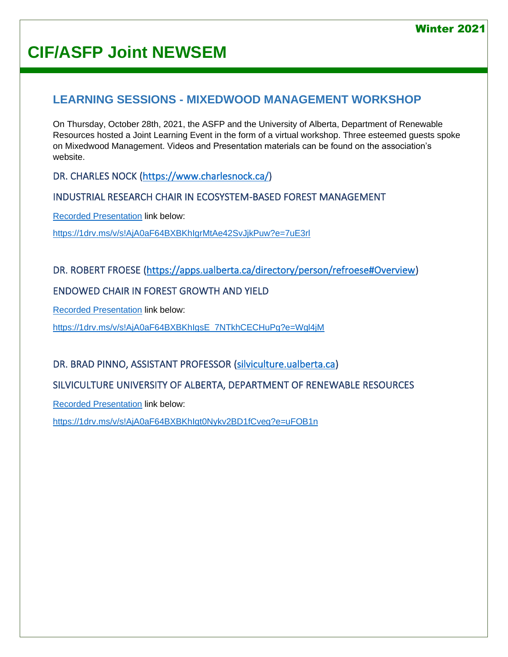# **CIF/ASFP Joint NEWSEM**

### **LEARNING SESSIONS - MIXEDWOOD MANAGEMENT WORKSHOP**

On Thursday, October 28th, 2021, the ASFP and the University of Alberta, Department of Renewable Resources hosted a Joint Learning Event in the form of a virtual workshop. Three esteemed guests spoke on Mixedwood Management. Videos and Presentation materials can be found on the association's website.

DR. CHARLES NOCK [\(https://www.charlesnock.ca/\)](https://www.charlesnock.ca/)

#### INDUSTRIAL RESEARCH CHAIR IN ECOSYSTEM-BASED FOREST MANAGEMENT

[Recorded Presentation](https://1drv.ms/v/s!AjA0aF64BXBKhIgrMtAe42SvJjkPuw?e=7uE3rl) link below:

<https://1drv.ms/v/s!AjA0aF64BXBKhIgrMtAe42SvJjkPuw?e=7uE3rl>

### DR. ROBERT FROESE [\(https://apps.ualberta.ca/directory/person/refroese#Overview\)](https://apps.ualberta.ca/directory/person/refroese#Overview)

### ENDOWED CHAIR IN FOREST GROWTH AND YIELD

[Recorded Presentation](https://1drv.ms/v/s!AjA0aF64BXBKhIgsE_7NTkhCECHuPg?e=Wgl4jM) link below:

[https://1drv.ms/v/s!AjA0aF64BXBKhIgsE\\_7NTkhCECHuPg?e=Wgl4jM](https://1drv.ms/v/s!AjA0aF64BXBKhIgsE_7NTkhCECHuPg?e=Wgl4jM)

### DR. BRAD PINNO, ASSISTANT PROFESSOR [\(silviculture.ualberta.ca\)](file:///C:/Users/kimsu/Downloads/silviculture.ualberta.ca)

#### SILVICULTURE UNIVERSITY OF ALBERTA, DEPARTMENT OF RENEWABLE RESOURCES

[Recorded Presentation](https://1drv.ms/v/s!AjA0aF64BXBKhIgt0Nykv2BD1fCveg?e=uFOB1n) link below:

https://1drv.ms/v/s!AjA0aF64BXBKhIgt0Nykv2BD1fCveg?e=uFOB1n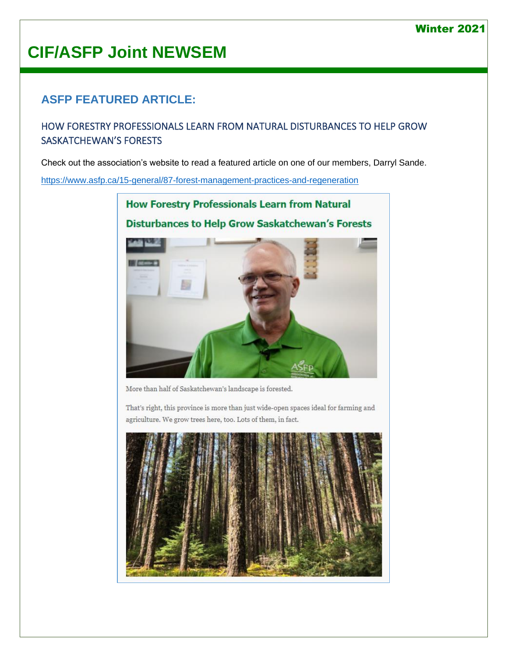### Winter 2021

# **CIF/ASFP Joint NEWSEM**

# **ASFP FEATURED ARTICLE:**

### HOW FORESTRY PROFESSIONALS LEARN FROM NATURAL DISTURBANCES TO HELP GROW SASKATCHEWAN'S FORESTS

Check out the association's website to read a featured article on one of our members, Darryl Sande.

<https://www.asfp.ca/15-general/87-forest-management-practices-and-regeneration>

**How Forestry Professionals Learn from Natural Disturbances to Help Grow Saskatchewan's Forests** 



More than half of Saskatchewan's landscape is forested.

That's right, this province is more than just wide-open spaces ideal for farming and agriculture. We grow trees here, too. Lots of them, in fact.

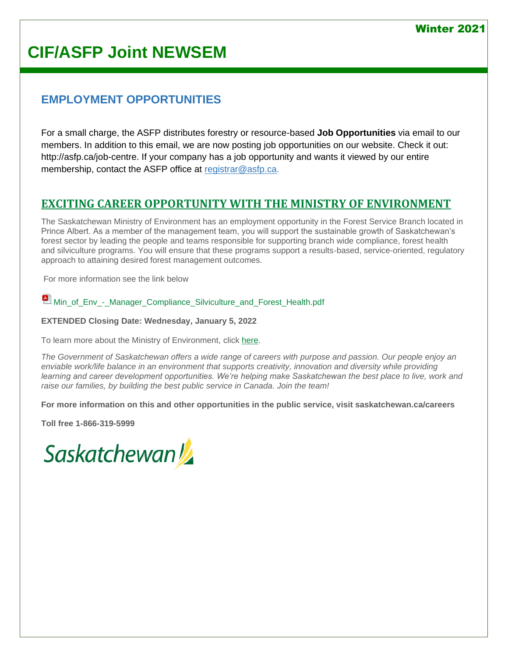# **CIF/ASFP Joint NEWSEM**

# **EMPLOYMENT OPPORTUNITIES**

For a small charge, the ASFP distributes forestry or resource-based **Job Opportunities** via email to our members. In addition to this email, we are now posting job opportunities on our website. Check it out: [http://asfp.ca/job-centre.](http://asfp.ca/job-centre) If your company has a job opportunity and wants it viewed by our entire membership, contact the ASFP office at [registrar@asfp.ca.](mailto:registrar@asfp.ca)

# **[EXCITING CAREER OPPORTUNITY WITH THE MINISTRY OF ENVIRONMENT](https://www.asfp.ca/job-centre/71-job-1)**

The Saskatchewan Ministry of Environment has an employment opportunity in the Forest Service Branch located in Prince Albert. As a member of the management team, you will support the sustainable growth of Saskatchewan's forest sector by leading the people and teams responsible for supporting branch wide compliance, forest health and silviculture programs. You will ensure that these programs support a results-based, service-oriented, regulatory approach to attaining desired forest management outcomes.

For more information see the link below

 $\blacksquare$  [Min\\_of\\_Env\\_-\\_Manager\\_Compliance\\_Silviculture\\_and\\_Forest\\_Health.pdf](https://www.asfp.ca/images/Job_Postings/J21-032_-_Min_of_Env_-_Manager_Compliance_Silviculture_and_Forest_Health_EXTENSION.pdf)

#### **EXTENDED Closing Date: Wednesday, January 5, 2022**

To learn more about the Ministry of Environment, click [here.](https://www.saskatchewan.ca/government/government-structure/ministries/environment)

*The Government of Saskatchewan offers a wide range of careers with purpose and passion. Our people enjoy an enviable work/life balance in an environment that supports creativity, innovation and diversity while providing learning and career development opportunities. We're helping make Saskatchewan the best place to live, work and raise our families, by building the best public service in Canada. Join the team!*

**For more information on this and other opportunities in the public service, visit saskatchewan.ca/careers**

**Toll free 1-866-319-5999**

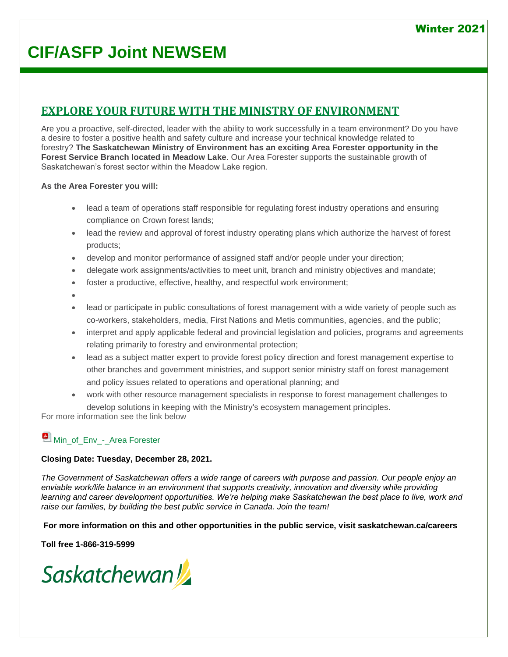# **CIF/ASFP Joint NEWSEM**

# **[EXPLORE YOUR FUTURE WITH THE MINISTRY OF ENVIRONMENT](https://www.asfp.ca/job-centre/43-job-5)**

Are you a proactive, self-directed, leader with the ability to work successfully in a team environment? Do you have a desire to foster a positive health and safety culture and increase your technical knowledge related to forestry? **The Saskatchewan Ministry of Environment has an exciting Area Forester opportunity in the Forest Service Branch located in Meadow Lake**. Our Area Forester supports the sustainable growth of Saskatchewan's forest sector within the Meadow Lake region.

#### **As the Area Forester you will:**

- lead a team of operations staff responsible for regulating forest industry operations and ensuring compliance on Crown forest lands;
- lead the review and approval of forest industry operating plans which authorize the harvest of forest products;
- develop and monitor performance of assigned staff and/or people under your direction;
- delegate work assignments/activities to meet unit, branch and ministry objectives and mandate;
- foster a productive, effective, healthy, and respectful work environment;
- •
- lead or participate in public consultations of forest management with a wide variety of people such as co-workers, stakeholders, media, First Nations and Metis communities, agencies, and the public;
- interpret and apply applicable federal and provincial legislation and policies, programs and agreements relating primarily to forestry and environmental protection;
- lead as a subject matter expert to provide forest policy direction and forest management expertise to other branches and government ministries, and support senior ministry staff on forest management and policy issues related to operations and operational planning; and
- work with other resource management specialists in response to forest management challenges to develop solutions in keeping with the Ministry's ecosystem management principles.

For more information see the link below

### [Min\\_of\\_Env\\_-\\_Area Forester](https://www.asfp.ca/images/Job_Postings/J21-034_-_Min_of_Env_-_Forest_Operations_Specialist.pdf)

#### **Closing Date: Tuesday, December 28, 2021.**

*The Government of Saskatchewan offers a wide range of careers with purpose and passion. Our people enjoy an enviable work/life balance in an environment that supports creativity, innovation and diversity while providing*  learning and career development opportunities. We're helping make Saskatchewan the best place to live, work and *raise our families, by building the best public service in Canada. Join the team!*

**For more information on this and other opportunities in the public service, visit saskatchewan.ca/careers**

#### **Toll free 1-866-319-5999**

Saskatchewan